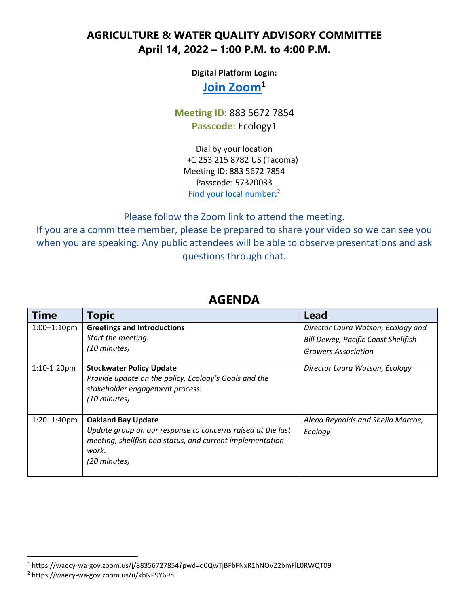## **AGRICULTURE & WATER QUALITY ADVISORY COMMITTEE April 14, 2022 – 1:00 P.M. to 4:00 P.M.**

**Digital Platform Login:** 

## **[Join Zoom](https://waecy-wa-gov.zoom.us/j/88356727854?pwd=d0QwTjBFbFNxR1hNOVZ2bmFlL0RWQT09)<sup>1</sup>**

## **Meeting ID:** 883 5672 7854 **Passcode**: Ecology1

Dial by your location +1 253 215 8782 US (Tacoma) Meeting ID: 883 5672 7854 Passcode: 57320033 [Find your local number:](https://waecy-wa-gov.zoom.us/u/kbNP9Y69nI)<sup>2</sup>

Please follow the Zoom link to attend the meeting.

If you are a committee member, please be prepared to share your video so we can see you when you are speaking. Any public attendees will be able to observe presentations and ask questions through chat.

| Time             | <b>Topic</b>                                                                                                                                                                   | Lead                                                                                                           |
|------------------|--------------------------------------------------------------------------------------------------------------------------------------------------------------------------------|----------------------------------------------------------------------------------------------------------------|
| $1:00 - 1:10$ pm | <b>Greetings and Introductions</b><br>Start the meeting.<br>(10 minutes)                                                                                                       | Director Laura Watson, Ecology and<br><b>Bill Dewey, Pacific Coast Shellfish</b><br><b>Growers Association</b> |
| 1:10-1:20pm      | <b>Stockwater Policy Update</b><br>Provide update on the policy, Ecology's Goals and the<br>stakeholder engagement process.<br>(10 minutes)                                    | Director Laura Watson, Ecology                                                                                 |
| $1:20 - 1:40$ pm | <b>Oakland Bay Update</b><br>Update group on our response to concerns raised at the last<br>meeting, shellfish bed status, and current implementation<br>work.<br>(20 minutes) | Alena Reynolds and Sheila Marcoe,<br>Ecology                                                                   |

## **AGENDA**

 $\overline{\phantom{a}}$ 

<sup>1</sup> https://waecy-wa-gov.zoom.us/j/88356727854?pwd=d0QwTjBFbFNxR1hNOVZ2bmFlL0RWQT09

<sup>2</sup> https://waecy-wa-gov.zoom.us/u/kbNP9Y69nI